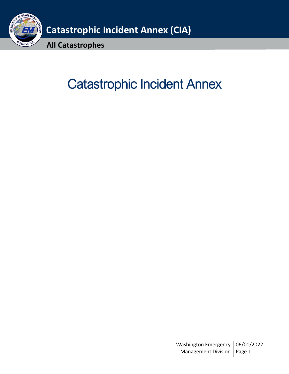

# Catastrophic Incident Annex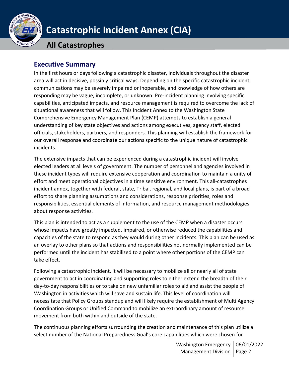

**All Catastrophes**

## <span id="page-1-0"></span>**Executive Summary**

In the first hours or days following a catastrophic disaster, individuals throughout the disaster area will act in decisive, possibly critical ways. Depending on the specific catastrophic incident, communications may be severely impaired or inoperable, and knowledge of how others are responding may be vague, incomplete, or unknown. Pre-incident planning involving specific capabilities, anticipated impacts, and resource management is required to overcome the lack of situational awareness that will follow. This Incident Annex to the Washington State Comprehensive Emergency Management Plan (CEMP) attempts to establish a general understanding of key state objectives and actions among executives, agency staff, elected officials, stakeholders, partners, and responders. This planning will establish the framework for our overall response and coordinate our actions specific to the unique nature of catastrophic incidents.

The extensive impacts that can be experienced during a catastrophic incident will involve elected leaders at all levels of government. The number of personnel and agencies involved in these incident types will require extensive cooperation and coordination to maintain a unity of effort and meet operational objectives in a time sensitive environment. This all-catastrophes incident annex, together with federal, state, Tribal, regional, and local plans, is part of a broad effort to share planning assumptions and considerations, response priorities, roles and responsibilities, essential elements of information, and resource management methodologies about response activities.

This plan is intended to act as a supplement to the use of the CEMP when a disaster occurs whose impacts have greatly impacted, impaired, or otherwise reduced the capabilities and capacities of the state to respond as they would during other incidents. This plan can be used as an overlay to other plans so that actions and responsibilities not normally implemented can be performed until the incident has stabilized to a point where other portions of the CEMP can take effect.

Following a catastrophic incident, it will be necessary to mobilize all or nearly all of state government to act in coordinating and supporting roles to either extend the breadth of their day-to-day responsibilities or to take on new unfamiliar roles to aid and assist the people of Washington in activities which will save and sustain life. This level of coordination will necessitate that Policy Groups standup and will likely require the establishment of Multi Agency Coordination Groups or Unified Command to mobilize an extraordinary amount of resource movement from both within and outside of the state.

The continuous planning efforts surrounding the creation and maintenance of this plan utilize a select number of the National Preparedness Goal's core capabilities which were chosen for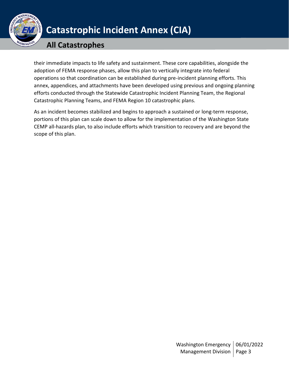

## **All Catastrophes**

their immediate impacts to life safety and sustainment. These core capabilities, alongside the adoption of FEMA response phases, allow this plan to vertically integrate into federal operations so that coordination can be established during pre-incident planning efforts. This annex, appendices, and attachments have been developed using previous and ongoing planning efforts conducted through the Statewide Catastrophic Incident Planning Team, the Regional Catastrophic Planning Teams, and FEMA Region 10 catastrophic plans.

As an incident becomes stabilized and begins to approach a sustained or long-term response, portions of this plan can scale down to allow for the implementation of the Washington State CEMP all-hazards plan, to also include efforts which transition to recovery and are beyond the scope of this plan.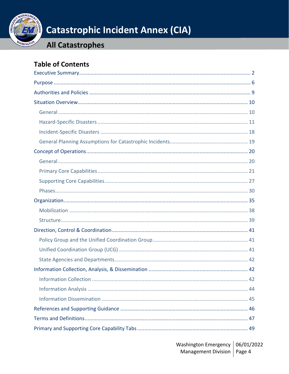

# **All Catastrophes**

# **Table of Contents**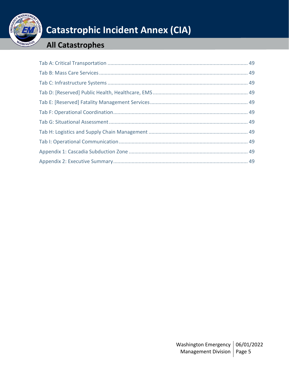

# **All Catastrophes**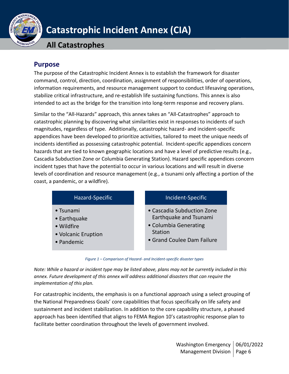

## **All Catastrophes**

## <span id="page-5-0"></span>**Purpose**

The purpose of the Catastrophic Incident Annex is to establish the framework for disaster command, control, direction, coordination, assignment of responsibilities, order of operations, information requirements, and resource management support to conduct lifesaving operations, stabilize critical infrastructure, and re-establish life sustaining functions. This annex is also intended to act as the bridge for the transition into long-term response and recovery plans.

Similar to the "All-Hazards" approach, this annex takes an "All-Catastrophes" approach to catastrophic planning by discovering what similarities exist in responses to incidents of such magnitudes, regardless of type. Additionally, catastrophic hazard- and incident-specific appendices have been developed to prioritize activities, tailored to meet the unique needs of incidents identified as possessing catastrophic potential. Incident-specific appendices concern hazards that are tied to known geographic locations and have a level of predictive results (e.g., Cascadia Subduction Zone or Columbia Generating Station). Hazard specific appendices concern incident types that have the potential to occur in various locations and will result in diverse levels of coordination and resource management (e.g., a tsunami only affecting a portion of the coast, a pandemic, or a wildfire).

| Hazard-Specific     | Incident-Specific          |
|---------------------|----------------------------|
| • Tsunami           | • Cascadia Subduction Zone |
| • Earthquake        | Earthquake and Tsunami     |
| • Wildfire          | • Columbia Generating      |
| • Volcanic Eruption | Station                    |
| • Pandemic          | • Grand Coulee Dam Failure |

*Figure 1 – Comparison of Hazard- and Incident-specific disaster types*

*Note: While a hazard or incident type may be listed above, plans may not be currently included in this annex. Future development of this annex will address additional disasters that can require the implementation of this plan.*

For catastrophic incidents, the emphasis is on a functional approach using a select grouping of the National Preparedness Goals' core capabilities that focus specifically on life safety and sustainment and incident stabilization. In addition to the core capability structure, a phased approach has been identified that aligns to FEMA Region 10's catastrophic response plan to facilitate better coordination throughout the levels of government involved.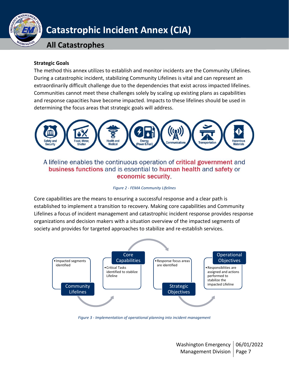

## **All Catastrophes**

#### **Strategic Goals**

The method this annex utilizes to establish and monitor incidents are the Community Lifelines. During a catastrophic incident, stabilizing Community Lifelines is vital and can represent an extraordinarily difficult challenge due to the dependencies that exist across impacted lifelines. Communities cannot meet these challenges solely by scaling up existing plans as capabilities and response capacities have become impacted. Impacts to these lifelines should be used in determining the focus areas that strategic goals will address.



A lifeline enables the continuous operation of critical government and business functions and is essential to human health and safety or economic security

#### *Figure 2 - FEMA Community Lifelines*

Core capabilities are the means to ensuring a successful response and a clear path is established to implement a transition to recovery. Making core capabilities and Community Lifelines a focus of incident management and catastrophic incident response provides response organizations and decision makers with a situation overview of the impacted segments of society and provides for targeted approaches to stabilize and re-establish services.



*Figure 3 - Implementation of operational planning into incident management*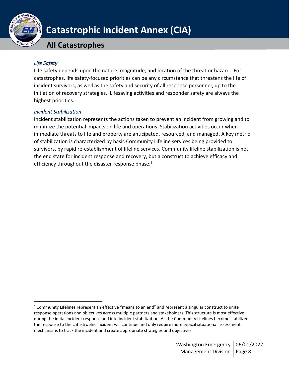

**All Catastrophes**

## *Life Safety*

Life safety depends upon the nature, magnitude, and location of the threat or hazard. For catastrophes, life safety-focused priorities can be any circumstance that threatens the life of incident survivors, as well as the safety and security of all response personnel, up to the initiation of recovery strategies. Lifesaving activities and responder safety are always the highest priorities.

## *Incident Stabilization*

Incident stabilization represents the actions taken to prevent an incident from growing and to minimize the potential impacts on life and operations. Stabilization activities occur when immediate threats to life and property are anticipated, resourced, and managed. A key metric of stabilization is characterized by basic Community Lifeline services being provided to survivors, by rapid re-establishment of lifeline services. Community lifeline stabilization is not the end state for incident response and recovery, but a construct to achieve efficacy and efficiency throughout the disaster response phase. $1$ 

<sup>1</sup> Community Lifelines represent an effective "means to an end" and represent a singular construct to unite response operations and objectives across multiple partners and stakeholders. This structure is most effective during the initial incident response and into incident stabilization. As the Community Lifelines become stabilized, the response to the catastrophic incident will continue and only require more typical situational assessment mechanisms to track the incident and create appropriate strategies and objectives.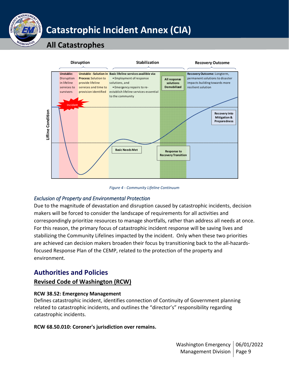

## **All Catastrophes**



*Figure 4 - Community Lifeline Continuum*

## *Exclusion of Property and Environmental Protection*

Due to the magnitude of devastation and disruption caused by catastrophic incidents, decision makers will be forced to consider the landscape of requirements for all activities and correspondingly prioritize resources to manage shortfalls, rather than address all needs at once. For this reason, the primary focus of catastrophic incident response will be saving lives and stabilizing the Community Lifelines impacted by the incident. Only when these two priorities are achieved can decision makers broaden their focus by transitioning back to the all-hazardsfocused Response Plan of the CEMP, related to the protection of the property and environment.

## <span id="page-8-0"></span>**Authorities and Policies**

## **Revised Code of Washington (RCW)**

## **RCW 38.52: Emergency Management**

Defines catastrophic incident, identifies connection of Continuity of Government planning related to catastrophic incidents, and outlines the "director's" responsibility regarding catastrophic incidents.

## **RCW 68.50.010: Coroner's jurisdiction over remains.**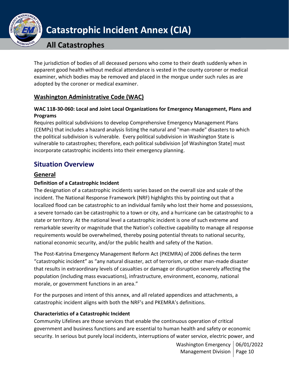

## **All Catastrophes**

The jurisdiction of bodies of all deceased persons who come to their death suddenly when in apparent good health without medical attendance is vested in the county coroner or medical examiner, which bodies may be removed and placed in the morgue under such rules as are adopted by the coroner or medical examiner.

## **Washington Administrative Code (WAC)**

## **WAC 118-30-060: Local and Joint Local Organizations for Emergency Management, Plans and Programs**

Requires political subdivisions to develop Comprehensive Emergency Management Plans (CEMPs) that includes a hazard analysis listing the natural and "man-made" disasters to which the political subdivision is vulnerable. Every political subdivision in Washington State is vulnerable to catastrophes; therefore, each political subdivision [of Washington State] must incorporate catastrophic incidents into their emergency planning.

## <span id="page-9-0"></span>**Situation Overview**

## <span id="page-9-1"></span>**General**

## **Definition of a Catastrophic Incident**

The designation of a catastrophic incidents varies based on the overall size and scale of the incident. The National Response Framework (NRF) highlights this by pointing out that a localized flood can be catastrophic to an individual family who lost their home and possessions, a severe tornado can be catastrophic to a town or city, and a hurricane can be catastrophic to a state or territory. At the national level a catastrophic incident is one of such extreme and remarkable severity or magnitude that the Nation's collective capability to manage all response requirements would be overwhelmed, thereby posing potential threats to national security, national economic security, and/or the public health and safety of the Nation.

The Post-Katrina Emergency Management Reform Act (PKEMRA) of 2006 defines the term "catastrophic incident" as "any natural disaster, act of terrorism, or other man-made disaster that results in extraordinary levels of casualties or damage or disruption severely affecting the population (including mass evacuations), infrastructure, environment, economy, national morale, or government functions in an area."

For the purposes and intent of this annex, and all related appendices and attachments, a catastrophic incident aligns with both the NRF's and PKEMRA's definitions.

## **Characteristics of a Catastrophic Incident**

Community Lifelines are those services that enable the continuous operation of critical government and business functions and are essential to human health and safety or economic security. In serious but purely local incidents, interruptions of water service, electric power, and

> Washington Emergency | 06/01/2022 Management Division | Page 10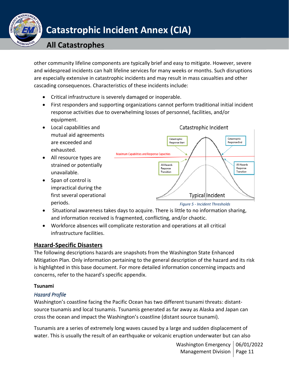

## **All Catastrophes**

other community lifeline components are typically brief and easy to mitigate. However, severe and widespread incidents can halt lifeline services for many weeks or months. Such disruptions are especially extensive in catastrophic incidents and may result in mass casualties and other cascading consequences. Characteristics of these incidents include:

- Critical infrastructure is severely damaged or inoperable.
- First responders and supporting organizations cannot perform traditional initial incident response activities due to overwhelming losses of personnel, facilities, and/or equipment.
- Local capabilities and mutual aid agreements are exceeded and exhausted.
- All resource types are strained or potentially unavailable.
- Span of control is impractical during the first several operational periods.



*Figure 5 - Incident Thresholds*

- Situational awareness takes days to acquire. There is little to no information sharing, and information received is fragmented, conflicting, and/or chaotic.
- Workforce absences will complicate restoration and operations at all critical infrastructure facilities.

## <span id="page-10-0"></span>**Hazard-Specific Disasters**

The following descriptions hazards are snapshots from the Washington State Enhanced Mitigation Plan. Only information pertaining to the general description of the hazard and its risk is highlighted in this base document. For more detailed information concerning impacts and concerns, refer to the hazard's specific appendix.

## **Tsunami**

## *Hazard Profile*

Washington's coastline facing the Pacific Ocean has two different tsunami threats: distantsource tsunamis and local tsunamis. Tsunamis generated as far away as Alaska and Japan can cross the ocean and impact the Washington's coastline (distant source tsunami).

Tsunamis are a series of extremely long waves caused by a large and sudden displacement of water. This is usually the result of an earthquake or volcanic eruption underwater but can also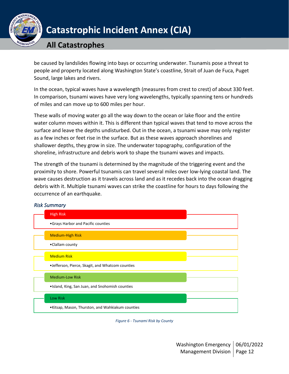

## **All Catastrophes**

be caused by landslides flowing into bays or occurring underwater. Tsunamis pose a threat to people and property located along Washington State's coastline, Strait of Juan de Fuca, Puget Sound, large lakes and rivers.

In the ocean, typical waves have a wavelength (measures from crest to crest) of about 330 feet. In comparison, tsunami waves have very long wavelengths, typically spanning tens or hundreds of miles and can move up to 600 miles per hour.

These walls of moving water go all the way down to the ocean or lake floor and the entire water column moves within it. This is different than typical waves that tend to move across the surface and leave the depths undisturbed. Out in the ocean, a tsunami wave may only register as a few inches or feet rise in the surface. But as these waves approach shorelines and shallower depths, they grow in size. The underwater topography, configuration of the shoreline, infrastructure and debris work to shape the tsunami waves and impacts.

The strength of the tsunami is determined by the magnitude of the triggering event and the proximity to shore. Powerful tsunamis can travel several miles over low-lying coastal land. The wave causes destruction as it travels across land and as it recedes back into the ocean dragging debris with it. Multiple tsunami waves can strike the coastline for hours to days following the occurrence of an earthquake.



### *Risk Summary*

*Figure 6 - Tsunami Risk by County*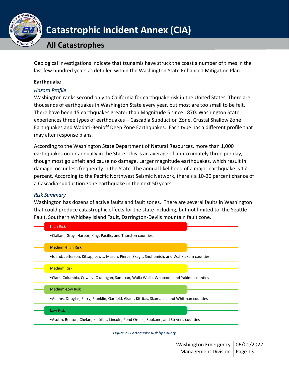

## **All Catastrophes**

Geological investigations indicate that tsunamis have struck the coast a number of times in the last few hundred years as detailed within the Washington State Enhanced Mitigation Plan.

### **Earthquake**

### *Hazard Profile*

Washington ranks second only to California for earthquake risk in the United States. There are thousands of earthquakes in Washington State every year, but most are too small to be felt. There have been 15 earthquakes greater than Magnitude 5 since 1870. Washington State experiences three types of earthquakes – Cascadia Subduction Zone, Crustal Shallow Zone Earthquakes and Wadati-Benioff Deep Zone Earthquakes. Each type has a different profile that may alter response plans.

According to the Washington State Department of Natural Resources, more than 1,000 earthquakes occur annually in the State. This is an average of approximately three per day, though most go unfelt and cause no damage. Larger magnitude earthquakes, which result in damage, occur less frequently in the State. The annual likelihood of a major earthquake is 17 percent. According to the Pacific Northwest Seismic Network, there's a 10-20 percent chance of a Cascadia subduction zone earthquake in the next 50 years.

### *Risk Summary*

Washington has dozens of active faults and fault zones. There are several faults in Washington that could produce catastrophic effects for the state including, but not limited to, the Seattle Fault, Southern Whidbey Island Fault, Darrington-Devils mountain fault zone.



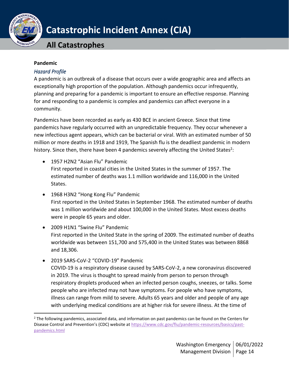

## **All Catastrophes**

#### **Pandemic**

### *Hazard Profile*

A pandemic is an outbreak of a disease that occurs over a wide geographic area and affects an exceptionally high proportion of the population. Although pandemics occur infrequently, planning and preparing for a pandemic is important to ensure an effective response. Planning for and responding to a pandemic is complex and pandemics can affect everyone in a community.

Pandemics have been recorded as early as 430 BCE in ancient Greece. Since that time pandemics have regularly occurred with an unpredictable frequency. They occur whenever a new infectious agent appears, which can be bacterial or viral. With an estimated number of 50 million or more deaths in 1918 and 1919, The Spanish flu is the deadliest pandemic in modern history. Since then, there have been 4 pandemics severely affecting the United States<sup>2</sup>:

- 1957 H2N2 "Asian Flu" Pandemic First reported in coastal cities in the United States in the summer of 1957. The estimated number of deaths was 1.1 million worldwide and 116,000 in the United States.
- 1968 H3N2 "Hong Kong Flu" Pandemic First reported in the United States in September 1968. The estimated number of deaths was 1 million worldwide and about 100,000 in the United States. Most excess deaths were in people 65 years and older.
- 2009 H1N1 "Swine Flu" Pandemic First reported in the United State in the spring of 2009. The estimated number of deaths worldwide was between 151,700 and 575,400 in the United States was between 8868 and 18,306.
- 2019 SARS-CoV-2 "COVID-19" Pandemic COVID-19 is a respiratory disease caused by SARS-CoV-2, a new coronavirus discovered in 2019. The virus is thought to spread mainly from person to person through respiratory droplets produced when an infected person coughs, sneezes, or talks. Some people who are infected may not have symptoms. For people who have symptoms, illness can range from mild to severe. Adults 65 years and older and people of any age with underlying medical conditions are at higher risk for severe illness. At the time of

<sup>&</sup>lt;sup>2</sup> The following pandemics, associated data, and information on past pandemics can be found on the Centers for Disease Control and Prevention's (CDC) website at [https://www.cdc.gov/flu/pandemic-resources/basics/past](https://www.cdc.gov/flu/pandemic-resources/basics/past-pandemics.html)[pandemics.html](https://www.cdc.gov/flu/pandemic-resources/basics/past-pandemics.html)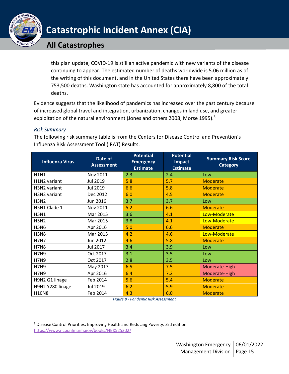

## **All Catastrophes**

this plan update, COVID-19 is still an active pandemic with new variants of the disease continuing to appear. The estimated number of deaths worldwide is 5.06 million as of the writing of this document, and in the United States there have been approximately 753,500 deaths. Washington state has accounted for approximately 8,800 of the total deaths.

Evidence suggests that the likelihood of pandemics has increased over the past century because of increased global travel and integration, urbanization, changes in land use, and greater exploitation of the natural environment (Jones and others 2008; Morse 1995).<sup>3</sup>

### *Risk Summary*

The following risk summary table is from the Centers for Disease Control and Prevention's Influenza Risk Assessment Tool (IRAT) Results.

| <b>Influenza Virus</b> | Date of<br><b>Assessment</b> | <b>Potential</b><br><b>Emergency</b><br><b>Estimate</b> | <b>Potential</b><br>Impact<br><b>Estimate</b> | <b>Summary Risk Score</b><br><b>Category</b> |
|------------------------|------------------------------|---------------------------------------------------------|-----------------------------------------------|----------------------------------------------|
| <b>H1N1</b>            | Nov 2011                     | 2.3                                                     | 2.4                                           | Low                                          |
| H1N2 variant           | Jul 2019                     | 5.8                                                     | 5.7                                           | <b>Moderate</b>                              |
| H3N2 variant           | Jul 2019                     | 6.6                                                     | 5.8                                           | <b>Moderate</b>                              |
| H3N2 variant           | Dec 2012                     | 6.0                                                     | 4.5                                           | <b>Moderate</b>                              |
| <b>H3N2</b>            | Jun 2016                     | 3.7                                                     | 3.7                                           | Low                                          |
| H5N1 Clade 1           | Nov 2011                     | 5.2                                                     | 6.6                                           | <b>Moderate</b>                              |
| <b>H5N1</b>            | Mar 2015                     | 3.6                                                     | 4.1                                           | Low-Moderate                                 |
| <b>H5N2</b>            | Mar 2015                     | 3.8                                                     | 4.1                                           | Low-Moderate                                 |
| <b>H5N6</b>            | Apr 2016                     | 5.0                                                     | 6.6                                           | <b>Moderate</b>                              |
| <b>H5N8</b>            | Mar 2015                     | 4.2                                                     | 4.6                                           | Low-Moderate                                 |
| <b>H7N7</b>            | Jun 2012                     | 4.6                                                     | 5.8                                           | <b>Moderate</b>                              |
| <b>H7N8</b>            | Jul 2017                     | 3.4                                                     | 3.9                                           | Low                                          |
| <b>H7N9</b>            | Oct 2017                     | 3.1                                                     | 3.5                                           | Low                                          |
| <b>H7N9</b>            | Oct 2017                     | 2.8                                                     | 3.5                                           | Low                                          |
| <b>H7N9</b>            | May 2017                     | 6.5                                                     | 7.5                                           | Moderate-High                                |
| <b>H7N9</b>            | Apr 2016                     | 6.4                                                     | 7.2                                           | Moderate-High                                |
| H9N2 G1 linage         | Feb 2014                     | 5.6                                                     | 5.4                                           | <b>Moderate</b>                              |
| H9N2 Y280 linage       | Jul 2019                     | 6.2                                                     | 5.9                                           | <b>Moderate</b>                              |
| <b>H10N8</b>           | Feb 2014                     | 4.3                                                     | 6.0                                           | <b>Moderate</b>                              |

*Figure 8 - Pandemic Risk Assessment*

<sup>&</sup>lt;sup>3</sup> Disease Control Priorities: Improving Health and Reducing Poverty. 3rd edition. <https://www.ncbi.nlm.nih.gov/books/NBK525302/>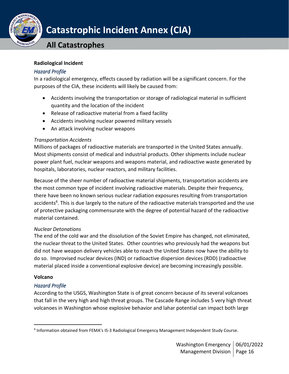

## **All Catastrophes**

#### **Radiological Incident**

### *Hazard Profile*

In a radiological emergency, effects caused by radiation will be a significant concern. For the purposes of the CIA, these incidents will likely be caused from:

- Accidents involving the transportation or storage of radiological material in sufficient quantity and the location of the incident
- Release of radioactive material from a fixed facility
- Accidents involving nuclear powered military vessels
- An attack involving nuclear weapons

### *Transportation Accidents*

Millions of packages of radioactive materials are transported in the United States annually. Most shipments consist of medical and industrial products. Other shipments include nuclear power plant fuel, nuclear weapons and weapons material, and radioactive waste generated by hospitals, laboratories, nuclear reactors, and military facilities.

Because of the sheer number of radioactive material shipments, transportation accidents are the most common type of incident involving radioactive materials. Despite their frequency, there have been no known serious nuclear radiation exposures resulting from transportation accidents<sup>4</sup>. This is due largely to the nature of the radioactive materials transported and the use of protective packaging commensurate with the degree of potential hazard of the radioactive material contained.

## *Nuclear Detonations*

The end of the cold war and the dissolution of the Soviet Empire has changed, not eliminated, the nuclear threat to the United States. Other countries who previously had the weapons but did not have weapon delivery vehicles able to reach the United States now have the ability to do so. Improvised nuclear devices (IND) or radioactive dispersion devices (RDD) (radioactive material placed inside a conventional explosive device) are becoming increasingly possible.

## **Volcano**

## *Hazard Profile*

According to the USGS, Washington State is of great concern because of its several volcanoes that fall in the very high and high threat groups. The Cascade Range includes 5 very high threat volcanoes in Washington whose explosive behavior and lahar potential can impact both large

<sup>&</sup>lt;sup>4</sup> Information obtained from FEMA's IS-3 Radiological Emergency Management Independent Study Course.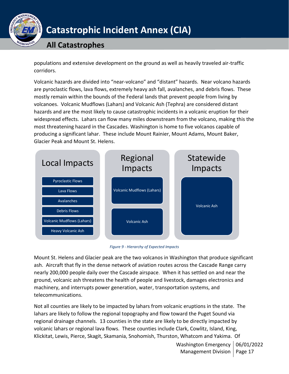

## **All Catastrophes**

populations and extensive development on the ground as well as heavily traveled air-traffic corridors.

Volcanic hazards are divided into "near-volcano" and "distant" hazards. Near volcano hazards are pyroclastic flows, lava flows, extremely heavy ash fall, avalanches, and debris flows. These mostly remain within the bounds of the Federal lands that prevent people from living by volcanoes. Volcanic Mudflows (Lahars) and Volcanic Ash (Tephra) are considered distant hazards and are the most likely to cause catastrophic incidents in a volcanic eruption for their widespread effects. Lahars can flow many miles downstream from the volcano, making this the most threatening hazard in the Cascades. Washington is home to five volcanos capable of producing a significant lahar. These include Mount Rainier, Mount Adams, Mount Baker, Glacier Peak and Mount St. Helens.



*Figure 9 - Hierarchy of Expected Impacts*

Mount St. Helens and Glacier peak are the two volcanos in Washington that produce significant ash. Aircraft that fly in the dense network of aviation routes across the Cascade Range carry nearly 200,000 people daily over the Cascade airspace. When it has settled on and near the ground, volcanic ash threatens the health of people and livestock, damages electronics and machinery, and interrupts power generation, water, transportation systems, and telecommunications.

Not all counties are likely to be impacted by lahars from volcanic eruptions in the state. The lahars are likely to follow the regional topography and flow toward the Puget Sound via regional drainage channels. 13 counties in the state are likely to be directly impacted by volcanic lahars or regional lava flows. These counties include Clark, Cowlitz, Island, King, Klickitat, Lewis, Pierce, Skagit, Skamania, Snohomish, Thurston, Whatcom and Yakima. Of

> Washington Emergency | 06/01/2022 Management Division | Page 17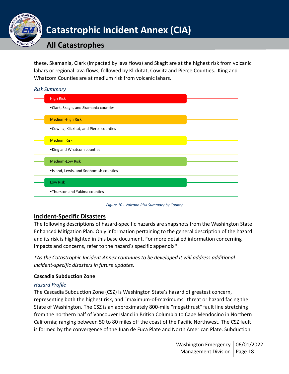

these, Skamania, Clark (impacted by lava flows) and Skagit are at the highest risk from volcanic lahars or regional lava flows, followed by Klickitat, Cowlitz and Pierce Counties. King and Whatcom Counties are at medium risk from volcanic lahars.

### *Risk Summary*



*Figure 10 - Volcano Risk Summary by County*

## <span id="page-17-0"></span>**Incident-Specific Disasters**

The following descriptions of hazard-specific hazards are snapshots from the Washington State Enhanced Mitigation Plan. Only information pertaining to the general description of the hazard and its risk is highlighted in this base document. For more detailed information concerning impacts and concerns, refer to the hazard's specific appendix\*.

*\*As the Catastrophic Incident Annex continues to be developed it will address additional incident-specific disasters in future updates.*

## **Cascadia Subduction Zone**

## *Hazard Profile*

The Cascadia Subduction Zone (CSZ) is Washington State's hazard of greatest concern, representing both the highest risk, and "maximum-of-maximums" threat or hazard facing the State of Washington. The CSZ is an approximately 800-mile "megathrust" fault line stretching from the northern half of Vancouver Island in British Columbia to Cape Mendocino in Northern California; ranging between 50 to 80 miles off the coast of the Pacific Northwest. The CSZ fault is formed by the convergence of the Juan de Fuca Plate and North American Plate. Subduction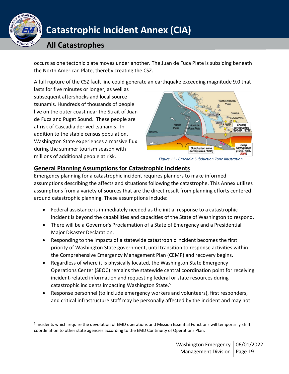

## **All Catastrophes**

occurs as one tectonic plate moves under another. The Juan de Fuca Plate is subsiding beneath the North American Plate, thereby creating the CSZ.

A full rupture of the CSZ fault line could generate an earthquake exceeding magnitude 9.0 that

lasts for five minutes or longer, as well as subsequent aftershocks and local source tsunamis. Hundreds of thousands of people live on the outer coast near the Strait of Juan de Fuca and Puget Sound. These people are at risk of Cascadia derived tsunamis. In addition to the stable census population, Washington State experiences a massive flux during the summer tourism season with millions of additional people at risk.



*Figure 11 - Cascadia Subduction Zone Illustration*

## <span id="page-18-0"></span>**General Planning Assumptions for Catastrophic Incidents**

Emergency planning for a catastrophic incident requires planners to make informed assumptions describing the affects and situations following the catastrophe. This Annex utilizes assumptions from a variety of sources that are the direct result from planning efforts centered around catastrophic planning. These assumptions include:

- Federal assistance is immediately needed as the initial response to a catastrophic incident is beyond the capabilities and capacities of the State of Washington to respond.
- There will be a Governor's Proclamation of a State of Emergency and a Presidential Major Disaster Declaration.
- Responding to the impacts of a statewide catastrophic incident becomes the first priority of Washington State government, until transition to response activities within the Comprehensive Emergency Management Plan (CEMP) and recovery begins.
- Regardless of where it is physically located, the Washington State Emergency Operations Center (SEOC) remains the statewide central coordination point for receiving incident-related information and requesting federal or state resources during catastrophic incidents impacting Washington State.<sup>5</sup>
- Response personnel (to include emergency workers and volunteers), first responders, and critical infrastructure staff may be personally affected by the incident and may not

<sup>&</sup>lt;sup>5</sup> Incidents which require the devolution of EMD operations and Mission Essential Functions will temporarily shift coordination to other state agencies according to the EMD Continuity of Operations Plan.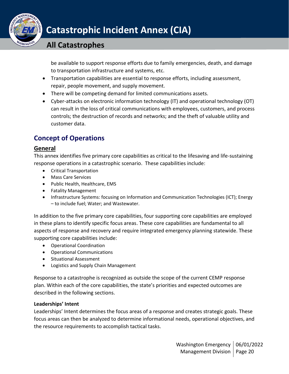

## **All Catastrophes**

be available to support response efforts due to family emergencies, death, and damage to transportation infrastructure and systems, etc.

- Transportation capabilities are essential to response efforts, including assessment, repair, people movement, and supply movement.
- There will be competing demand for limited communications assets.
- Cyber-attacks on electronic information technology (IT) and operational technology (OT) can result in the loss of critical communications with employees, customers, and process controls; the destruction of records and networks; and the theft of valuable utility and customer data.

## <span id="page-19-0"></span>**Concept of Operations**

## <span id="page-19-1"></span>**General**

This annex identifies five primary core capabilities as critical to the lifesaving and life-sustaining response operations in a catastrophic scenario. These capabilities include:

- Critical Transportation
- Mass Care Services
- Public Health, Healthcare, EMS
- Fatality Management
- Infrastructure Systems: focusing on Information and Communication Technologies (ICT); Energy – to include fuel; Water; and Wastewater.

In addition to the five primary core capabilities, four supporting core capabilities are employed in these plans to identify specific focus areas. These core capabilities are fundamental to all aspects of response and recovery and require integrated emergency planning statewide. These supporting core capabilities include:

- Operational Coordination
- Operational Communications
- Situational Assessment
- Logistics and Supply Chain Management

Response to a catastrophe is recognized as outside the scope of the current CEMP response plan. Within each of the core capabilities, the state's priorities and expected outcomes are described in the following sections.

### **Leaderships' Intent**

Leaderships' Intent determines the focus areas of a response and creates strategic goals. These focus areas can then be analyzed to determine informational needs, operational objectives, and the resource requirements to accomplish tactical tasks.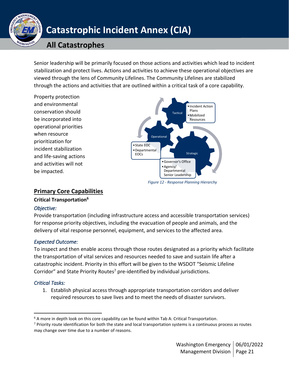

## **All Catastrophes**

Senior leadership will be primarily focused on those actions and activities which lead to incident stabilization and protect lives. Actions and activities to achieve these operational objectives are viewed through the lens of Community Lifelines. The Community Lifelines are stabilized through the actions and activities that are outlined within a critical task of a core capability.

Property protection and environmental conservation should be incorporated into operational priorities when resource prioritization for incident stabilization and life-saving actions and activities will not be impacted.



*Figure 12 - Response Planning Hierarchy*

## <span id="page-20-0"></span>**Primary Core Capabilities**

## **Critical Transportation<sup>6</sup>**

## *Objective:*

Provide transportation (including infrastructure access and accessible transportation services) for response priority objectives, including the evacuation of people and animals, and the delivery of vital response personnel, equipment, and services to the affected area.

## *Expected Outcome:*

To inspect and then enable access through those routes designated as a priority which facilitate the transportation of vital services and resources needed to save and sustain life after a catastrophic incident. Priority in this effort will be given to the WSDOT "Seismic Lifeline Corridor" and State Priority Routes<sup>7</sup> pre-identified by individual jurisdictions.

## *Critical Tasks:*

1. Establish physical access through appropriate transportation corridors and deliver required resources to save lives and to meet the needs of disaster survivors.

 $6$  A more in depth look on this core capability can be found within Tab A: Critical Transportation.

 $<sup>7</sup>$  Priority route identification for both the state and local transportation systems is a continuous process as routes</sup> may change over time due to a number of reasons.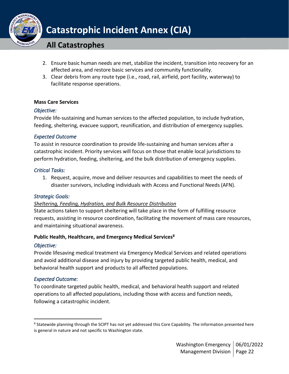

## **All Catastrophes**

- 2. Ensure basic human needs are met, stabilize the incident, transition into recovery for an affected area, and restore basic services and community functionality.
- 3. Clear debris from any route type (i.e., road, rail, airfield, port facility, waterway) to facilitate response operations.

### **Mass Care Services**

### *Objective:*

Provide life-sustaining and human services to the affected population, to include hydration, feeding, sheltering, evacuee support, reunification, and distribution of emergency supplies.

### *Expected Outcome*

To assist in resource coordination to provide life-sustaining and human services after a catastrophic incident. Priority services will focus on those that enable local jurisdictions to perform hydration, feeding, sheltering, and the bulk distribution of emergency supplies.

### *Critical Tasks:*

1. Request, acquire, move and deliver resources and capabilities to meet the needs of disaster survivors, including individuals with Access and Functional Needs (AFN).

### *Strategic Goals:*

## *Sheltering, Feeding, Hydration, and Bulk Resource Distribution*

State actions taken to support sheltering will take place in the form of fulfilling resource requests, assisting in resource coordination, facilitating the movement of mass care resources, and maintaining situational awareness.

### **Public Health, Healthcare, and Emergency Medical Services<sup>8</sup>**

## *Objective:*

Provide lifesaving medical treatment via Emergency Medical Services and related operations and avoid additional disease and injury by providing targeted public health, medical, and behavioral health support and products to all affected populations.

## *Expected Outcome:*

To coordinate targeted public health, medical, and behavioral health support and related operations to all affected populations, including those with access and function needs, following a catastrophic incident.

<sup>&</sup>lt;sup>8</sup> Statewide planning through the SCIPT has not yet addressed this Core Capability. The information presented here is general in nature and not specific to Washington state.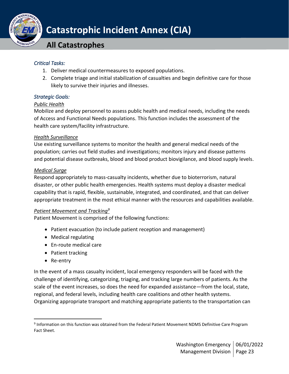

**All Catastrophes**

## *Critical Tasks:*

- 1. Deliver medical countermeasures to exposed populations.
- 2. Complete triage and initial stabilization of casualties and begin definitive care for those likely to survive their injuries and illnesses.

## *Strategic Goals:*

## *Public Health*

Mobilize and deploy personnel to assess public health and medical needs, including the needs of Access and Functional Needs populations. This function includes the assessment of the health care system/facility infrastructure.

## *Health Surveillance*

Use existing surveillance systems to monitor the health and general medical needs of the population; carries out field studies and investigations; monitors injury and disease patterns and potential disease outbreaks, blood and blood product biovigilance, and blood supply levels.

## *Medical Surge*

Respond appropriately to mass-casualty incidents, whether due to bioterrorism, natural disaster, or other public health emergencies. Health systems must deploy a disaster medical capability that is rapid, flexible, sustainable, integrated, and coordinated, and that can deliver appropriate treatment in the most ethical manner with the resources and capabilities available.

## *Patient Movement and Tracking<sup>9</sup>*

Patient Movement is comprised of the following functions:

- Patient evacuation (to include patient reception and management)
- Medical regulating
- En-route medical care
- Patient tracking
- Re-entry

In the event of a mass casualty incident, local emergency responders will be faced with the challenge of identifying, categorizing, triaging, and tracking large numbers of patients. As the scale of the event increases, so does the need for expanded assistance—from the local, state, regional, and federal levels, including health care coalitions and other health systems. Organizing appropriate transport and matching appropriate patients to the transportation can

<sup>&</sup>lt;sup>9</sup> Information on this function was obtained from the Federal Patient Movement NDMS Definitive Care Program Fact Sheet.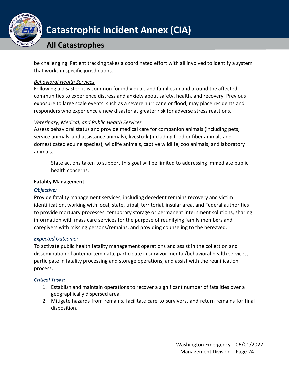

## **All Catastrophes**

be challenging. Patient tracking takes a coordinated effort with all involved to identify a system that works in specific jurisdictions.

### *Behavioral Health Services*

Following a disaster, it is common for individuals and families in and around the affected communities to experience distress and anxiety about safety, health, and recovery. Previous exposure to large scale events, such as a severe hurricane or flood, may place residents and responders who experience a new disaster at greater risk for adverse stress reactions.

## *Veterinary, Medical, and Public Health Services*

Assess behavioral status and provide medical care for companion animals (including pets, service animals, and assistance animals), livestock (including food or fiber animals and domesticated equine species), wildlife animals, captive wildlife, zoo animals, and laboratory animals.

State actions taken to support this goal will be limited to addressing immediate public health concerns.

### **Fatality Management**

## *Objective:*

Provide fatality management services, including decedent remains recovery and victim identification, working with local, state, tribal, territorial, insular area, and Federal authorities to provide mortuary processes, temporary storage or permanent internment solutions, sharing information with mass care services for the purpose of reunifying family members and caregivers with missing persons/remains, and providing counseling to the bereaved.

## *Expected Outcome:*

To activate public health fatality management operations and assist in the collection and dissemination of antemortem data, participate in survivor mental/behavioral health services, participate in fatality processing and storage operations, and assist with the reunification process.

## *Critical Tasks:*

- 1. Establish and maintain operations to recover a significant number of fatalities over a geographically dispersed area.
- 2. Mitigate hazards from remains, facilitate care to survivors, and return remains for final disposition.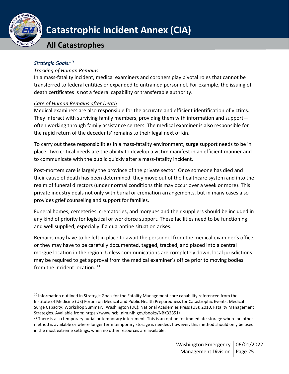

## **All Catastrophes**

## *Strategic Goals:<sup>10</sup>*

### *Tracking of Human Remains*

In a mass-fatality incident, medical examiners and coroners play pivotal roles that cannot be transferred to federal entities or expanded to untrained personnel. For example, the issuing of death certificates is not a federal capability or transferable authority.

### *Care of Human Remains after Death*

Medical examiners are also responsible for the accurate and efficient identification of victims. They interact with surviving family members, providing them with information and support often working through family assistance centers. The medical examiner is also responsible for the rapid return of the decedents' remains to their legal next of kin.

To carry out these responsibilities in a mass-fatality environment, surge support needs to be in place. Two critical needs are the ability to develop a victim manifest in an efficient manner and to communicate with the public quickly after a mass-fatality incident.

Post-mortem care is largely the province of the private sector. Once someone has died and their cause of death has been determined, they move out of the healthcare system and into the realm of funeral directors (under normal conditions this may occur over a week or more). This private industry deals not only with burial or cremation arrangements, but in many cases also provides grief counseling and support for families.

Funeral homes, cemeteries, crematories, and morgues and their suppliers should be included in any kind of priority for logistical or workforce support. These facilities need to be functioning and well supplied, especially if a quarantine situation arises.

Remains may have to be left in place to await the personnel from the medical examiner's office, or they may have to be carefully documented, tagged, tracked, and placed into a central morgue location in the region. Unless communications are completely down, local jurisdictions may be required to get approval from the medical examiner's office prior to moving bodies from the incident location.  $11$ 

<sup>&</sup>lt;sup>10</sup> Information outlined in Strategic Goals for the Fatality Management core capability referenced from the Institute of Medicine (US) Forum on Medical and Public Health Preparedness for Catastrophic Events. Medical Surge Capacity: Workshop Summary. Washington (DC): National Academies Press (US); 2010. Fatality Management Strategies. Available from: https://www.ncbi.nlm.nih.gov/books/NBK32851/

<sup>&</sup>lt;sup>11</sup> There is also temporary burial or temporary internment. This is an option for immediate storage where no other method is available or where longer term temporary storage is needed; however, this method should only be used in the most extreme settings, when no other resources are available.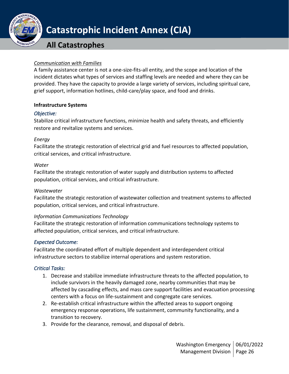

## **All Catastrophes**

### *Communication with Families*

A family assistance center is not a one-size-fits-all entity, and the scope and location of the incident dictates what types of services and staffing levels are needed and where they can be provided. They have the capacity to provide a large variety of services, including spiritual care, grief support, information hotlines, child-care/play space, and food and drinks.

### **Infrastructure Systems**

#### *Objective:*

Stabilize critical infrastructure functions, minimize health and safety threats, and efficiently restore and revitalize systems and services.

### *Energy*

Facilitate the strategic restoration of electrical grid and fuel resources to affected population, critical services, and critical infrastructure.

#### *Water*

Facilitate the strategic restoration of water supply and distribution systems to affected population, critical services, and critical infrastructure.

### *Wastewater*

Facilitate the strategic restoration of wastewater collection and treatment systems to affected population, critical services, and critical infrastructure.

### *Information Communications Technology*

Facilitate the strategic restoration of information communications technology systems to affected population, critical services, and critical infrastructure.

### *Expected Outcome:*

Facilitate the coordinated effort of multiple dependent and interdependent critical infrastructure sectors to stabilize internal operations and system restoration.

### *Critical Tasks:*

- 1. Decrease and stabilize immediate infrastructure threats to the affected population, to include survivors in the heavily damaged zone, nearby communities that may be affected by cascading effects, and mass care support facilities and evacuation processing centers with a focus on life-sustainment and congregate care services.
- 2. Re-establish critical infrastructure within the affected areas to support ongoing emergency response operations, life sustainment, community functionality, and a transition to recovery.
- 3. Provide for the clearance, removal, and disposal of debris.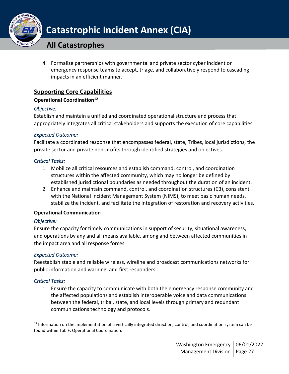

## **All Catastrophes**

4. Formalize partnerships with governmental and private sector cyber incident or emergency response teams to accept, triage, and collaboratively respond to cascading impacts in an efficient manner.

## <span id="page-26-0"></span>**Supporting Core Capabilities**

### **Operational Coordination<sup>12</sup>**

## *Objective:*

Establish and maintain a unified and coordinated operational structure and process that appropriately integrates all critical stakeholders and supports the execution of core capabilities.

## *Expected Outcome:*

Facilitate a coordinated response that encompasses federal, state, Tribes, local jurisdictions, the private sector and private non-profits through identified strategies and objectives.

### *Critical Tasks:*

- 1. Mobilize all critical resources and establish command, control, and coordination structures within the affected community, which may no longer be defined by established jurisdictional boundaries as needed throughout the duration of an incident.
- 2. Enhance and maintain command, control, and coordination structures (C3), consistent with the National Incident Management System (NIMS), to meet basic human needs, stabilize the incident, and facilitate the integration of restoration and recovery activities.

### **Operational Communication**

## *Objective:*

Ensure the capacity for timely communications in support of security, situational awareness, and operations by any and all means available, among and between affected communities in the impact area and all response forces.

## *Expected Outcome:*

Reestablish stable and reliable wireless, wireline and broadcast communications networks for public information and warning, and first responders.

## *Critical Tasks:*

1. Ensure the capacity to communicate with both the emergency response community and the affected populations and establish interoperable voice and data communications between the federal, tribal, state, and local levels through primary and redundant communications technology and protocols.

<sup>&</sup>lt;sup>12</sup> Information on the implementation of a vertically integrated direction, control, and coordination system can be found within Tab F: Operational Coordination.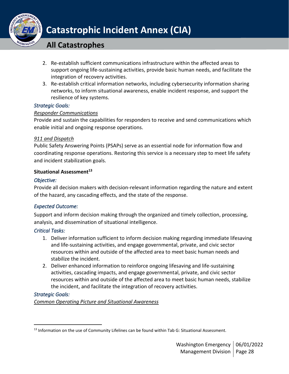

## **All Catastrophes**

- 2. Re-establish sufficient communications infrastructure within the affected areas to support ongoing life-sustaining activities, provide basic human needs, and facilitate the integration of recovery activities.
- 3. Re-establish critical information networks, including cybersecurity information sharing networks, to inform situational awareness, enable incident response, and support the resilience of key systems.

## *Strategic Goals:*

## *Responder Communications*

Provide and sustain the capabilities for responders to receive and send communications which enable initial and ongoing response operations.

## *911 and Dispatch*

Public Safety Answering Points (PSAPs) serve as an essential node for information flow and coordinating response operations. Restoring this service is a necessary step to meet life safety and incident stabilization goals.

## **Situational Assessment<sup>13</sup>**

### *Objective:*

Provide all decision makers with decision-relevant information regarding the nature and extent of the hazard, any cascading effects, and the state of the response.

## *Expected Outcome:*

Support and inform decision making through the organized and timely collection, processing, analysis, and dissemination of situational intelligence.

## *Critical Tasks:*

- 1. Deliver information sufficient to inform decision making regarding immediate lifesaving and life-sustaining activities, and engage governmental, private, and civic sector resources within and outside of the affected area to meet basic human needs and stabilize the incident.
- 2. Deliver enhanced information to reinforce ongoing lifesaving and life-sustaining activities, cascading impacts, and engage governmental, private, and civic sector resources within and outside of the affected area to meet basic human needs, stabilize the incident, and facilitate the integration of recovery activities.

## *Strategic Goals:*

*Common Operating Picture and Situational Awareness*

<sup>13</sup> Information on the use of Community Lifelines can be found within Tab G: Situational Assessment.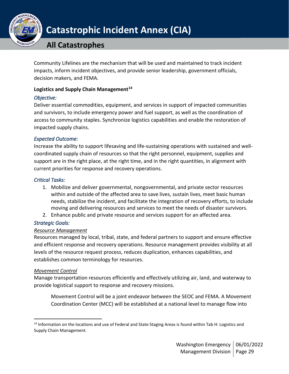

## **All Catastrophes**

Community Lifelines are the mechanism that will be used and maintained to track incident impacts, inform incident objectives, and provide senior leadership, government officials, decision makers, and FEMA.

### **Logistics and Supply Chain Management<sup>14</sup>**

### *Objective:*

Deliver essential commodities, equipment, and services in support of impacted communities and survivors, to include emergency power and fuel support, as well as the coordination of access to community staples. Synchronize logistics capabilities and enable the restoration of impacted supply chains.

### *Expected Outcome:*

Increase the ability to support lifesaving and life-sustaining operations with sustained and wellcoordinated supply chain of resources so that the right personnel, equipment, supplies and support are in the right place, at the right time, and in the right quantities, in alignment with current priorities for response and recovery operations.

## *Critical Tasks:*

- 1. Mobilize and deliver governmental, nongovernmental, and private sector resources within and outside of the affected area to save lives, sustain lives, meet basic human needs, stabilize the incident, and facilitate the integration of recovery efforts, to include moving and delivering resources and services to meet the needs of disaster survivors.
- 2. Enhance public and private resource and services support for an affected area.

## *Strategic Goals:*

### *Resource Management*

Resources managed by local, tribal, state, and federal partners to support and ensure effective and efficient response and recovery operations. Resource management provides visibility at all levels of the resource request process, reduces duplication, enhances capabilities, and establishes common terminology for resources.

### *Movement Control*

Manage transportation resources efficiently and effectively utilizing air, land, and waterway to provide logistical support to response and recovery missions.

Movement Control will be a joint endeavor between the SEOC and FEMA. A Movement Coordination Center (MCC) will be established at a national level to manage flow into

<sup>&</sup>lt;sup>14</sup> Information on the locations and use of Federal and State Staging Areas is found within Tab H: Logistics and Supply Chain Management.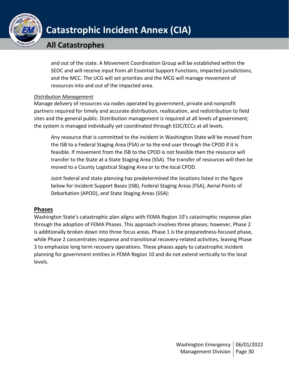

## **All Catastrophes**

and out of the state. A Movement Coordination Group will be established within the SEOC and will receive input from all Essential Support Functions, impacted jurisdictions, and the MCC. The UCG will set priorities and the MCG will manage movement of resources into and out of the impacted area.

## *Distribution Management*

Manage delivery of resources via nodes operated by government, private and nonprofit partners required for timely and accurate distribution, reallocation, and redistribution to field sites and the general public. Distribution management is required at all levels of government; the system is managed individually yet coordinated through EOC/ECCs at all levels.

Any resource that is committed to the incident in Washington State will be moved from the ISB to a Federal Staging Area (FSA) or to the end user through the CPOD if it is feasible. If movement from the ISB to the CPOD is not feasible then the resource will transfer to the State at a State Staging Area (SSA). The transfer of resources will then be moved to a County Logistical Staging Area or to the local CPOD.

Joint federal and state planning has predetermined the locations listed in the figure below for Incident Support Bases (ISB), Federal Staging Areas (FSA), Aerial Points of Debarkation (APOD), and State Staging Areas (SSA):

## <span id="page-29-0"></span>**Phases**

Washington State's catastrophic plan aligns with FEMA Region 10's catastrophic response plan through the adoption of FEMA Phases. This approach involves three phases; however, Phase 2 is additionally broken down into three focus areas. Phase 1 is the preparedness-focused phase, while Phase 2 concentrates response and transitional recovery-related activities, leaving Phase 3 to emphasize long term recovery operations. These phases apply to catastrophic incident planning for government entities in FEMA Region 10 and do not extend vertically to the local levels.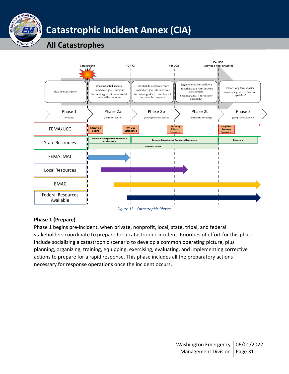

# **All Catastrophes**



*Figure 13 - Catastrophic Phases*

## **Phase 1 (Prepare)**

Phase 1 begins pre-incident, when private, nonprofit, local, state, tribal, and federal stakeholders coordinate to prepare for a catastrophic incident. Priorities of effort for this phase include socializing a catastrophic scenario to develop a common operating picture, plus planning, organizing, training, equipping, exercising, evaluating, and implementing corrective actions to prepare for a rapid response. This phase includes all the preparatory actions necessary for response operations once the incident occurs.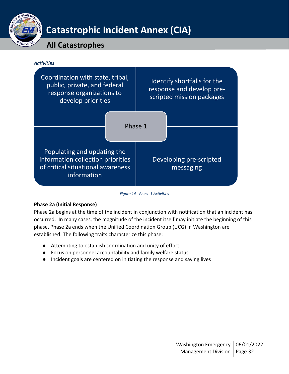

## **All Catastrophes**



#### *Figure 14 - Phase 1 Activities*

## **Phase 2a (Initial Response)**

Phase 2a begins at the time of the incident in conjunction with notification that an incident has occurred. In many cases, the magnitude of the incident itself may initiate the beginning of this phase. Phase 2a ends when the Unified Coordination Group (UCG) in Washington are established. The following traits characterize this phase:

- Attempting to establish coordination and unity of effort
- Focus on personnel accountability and family welfare status
- Incident goals are centered on initiating the response and saving lives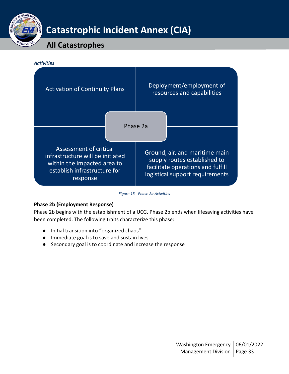

## **All Catastrophes**



*Figure 15 - Phase 2a Activities*

## **Phase 2b (Employment Response)**

Phase 2b begins with the establishment of a UCG. Phase 2b ends when lifesaving activities have been completed. The following traits characterize this phase:

- Initial transition into "organized chaos"
- Immediate goal is to save and sustain lives
- Secondary goal is to coordinate and increase the response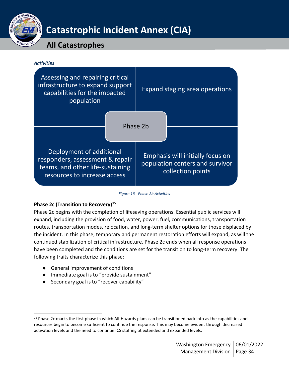

## **All Catastrophes**



#### *Figure 16 - Phase 2b Activities*

### **Phase 2c (Transition to Recovery)<sup>15</sup>**

Phase 2c begins with the completion of lifesaving operations. Essential public services will expand, including the provision of food, water, power, fuel, communications, transportation routes, transportation modes, relocation, and long-term shelter options for those displaced by the incident. In this phase, temporary and permanent restoration efforts will expand, as will the continued stabilization of critical infrastructure. Phase 2c ends when all response operations have been completed and the conditions are set for the transition to long-term recovery. The following traits characterize this phase:

- General improvement of conditions
- Immediate goal is to "provide sustainment"
- Secondary goal is to "recover capability"

<sup>&</sup>lt;sup>15</sup> Phase 2c marks the first phase in which All-Hazards plans can be transitioned back into as the capabilities and resources begin to become sufficient to continue the response. This may become evident through decreased activation levels and the need to continue ICS staffing at extended and expanded levels.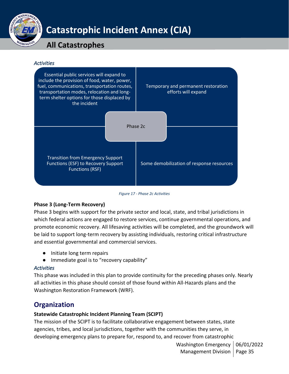

# **All Catastrophes**

*Activities* 



*Figure 17 - Phase 2c Activities*

## **Phase 3 (Long-Term Recovery)**

Phase 3 begins with support for the private sector and local, state, and tribal jurisdictions in which federal actions are engaged to restore services, continue governmental operations, and promote economic recovery. All lifesaving activities will be completed, and the groundwork will be laid to support long-term recovery by assisting individuals, restoring critical infrastructure and essential governmental and commercial services.

- Initiate long term repairs
- Immediate goal is to "recovery capability"

## *Activities*

This phase was included in this plan to provide continuity for the preceding phases only. Nearly all activities in this phase should consist of those found within All-Hazards plans and the Washington Restoration Framework (WRF).

## <span id="page-34-0"></span>**Organization**

## **Statewide Catastrophic Incident Planning Team (SCIPT)**

The mission of the SCIPT is to facilitate collaborative engagement between states, state agencies, tribes, and local jurisdictions, together with the communities they serve, in developing emergency plans to prepare for, respond to, and recover from catastrophic

> Washington Emergency | 06/01/2022 Management Division | Page 35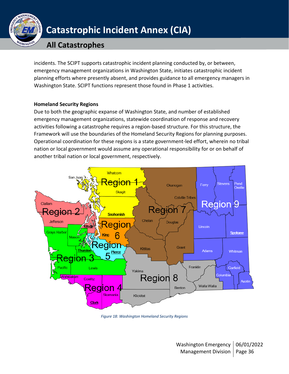

## **All Catastrophes**

incidents. The SCIPT supports catastrophic incident planning conducted by, or between, emergency management organizations in Washington State, initiates catastrophic incident planning efforts where presently absent, and provides guidance to all emergency managers in Washington State. SCIPT functions represent those found in Phase 1 activities.

### **Homeland Security Regions**

Due to both the geographic expanse of Washington State, and number of established emergency management organizations, statewide coordination of response and recovery activities following a catastrophe requires a region-based structure. For this structure, the Framework will use the boundaries of the Homeland Security Regions for planning purposes. Operational coordination for these regions is a state government-led effort, wherein no tribal nation or local government would assume any operational responsibility for or on behalf of another tribal nation or local government, respectively.



*Figure 18: Washington Homeland Security Regions*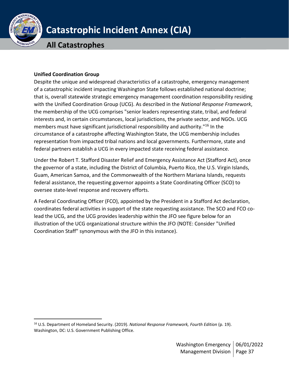

**All Catastrophes**

### **Unified Coordination Group**

Despite the unique and widespread characteristics of a catastrophe, emergency management of a catastrophic incident impacting Washington State follows established national doctrine; that is, overall statewide strategic emergency management coordination responsibility residing with the Unified Coordination Group (UCG). As described in the *National Response Framework*, the membership of the UCG comprises "senior leaders representing state, tribal, and federal interests and, in certain circumstances, local jurisdictions, the private sector, and NGOs. UCG members must have significant jurisdictional responsibility and authority." <sup>16</sup> In the circumstance of a catastrophe affecting Washington State, the UCG membership includes representation from impacted tribal nations and local governments. Furthermore, state and federal partners establish a UCG in every impacted state receiving federal assistance.

Under the Robert T. Stafford Disaster Relief and Emergency Assistance Act (Stafford Act), once the governor of a state, including the District of Columbia, Puerto Rico, the U.S. Virgin Islands, Guam, American Samoa, and the Commonwealth of the Northern Mariana Islands, requests federal assistance, the requesting governor appoints a State Coordinating Officer (SCO) to oversee state-level response and recovery efforts.

A Federal Coordinating Officer (FCO), appointed by the President in a Stafford Act declaration, coordinates federal activities in support of the state requesting assistance. The SCO and FCO colead the UCG, and the UCG provides leadership within the JFO see figure below for an illustration of the UCG organizational structure within the JFO (NOTE: Consider "Unified Coordination Staff" synonymous with the JFO in this instance).

<sup>16</sup> U.S. Department of Homeland Security. (2019). *National Response Framework, Fourth Edition* (p. 19). Washington, DC: U.S. Government Publishing Office.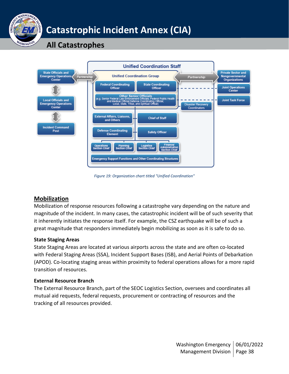



*Figure 19: Organization chart titled "Unified Coordination"*

## <span id="page-37-0"></span>**Mobilization**

Mobilization of response resources following a catastrophe vary depending on the nature and magnitude of the incident. In many cases, the catastrophic incident will be of such severity that it inherently initiates the response itself. For example, the CSZ earthquake will be of such a great magnitude that responders immediately begin mobilizing as soon as it is safe to do so.

### **State Staging Areas**

State Staging Areas are located at various airports across the state and are often co-located with Federal Staging Areas (SSA), Incident Support Bases (ISB), and Aerial Points of Debarkation (APOD). Co-locating staging areas within proximity to federal operations allows for a more rapid transition of resources.

#### **External Resource Branch**

The External Resource Branch, part of the SEOC Logistics Section, oversees and coordinates all mutual aid requests, federal requests, procurement or contracting of resources and the tracking of all resources provided.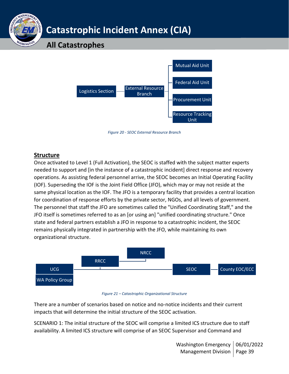## **All Catastrophes**



*Figure 20 - SEOC External Resource Branch*

## <span id="page-38-0"></span>**Structure**

**NAGFA** 

Once activated to Level 1 (Full Activation), the SEOC is staffed with the subject matter experts needed to support and [in the instance of a catastrophic incident] direct response and recovery operations. As assisting federal personnel arrive, the SEOC becomes an Initial Operating Facility (IOF). Superseding the IOF is the Joint Field Office (JFO), which may or may not reside at the same physical location as the IOF. The JFO is a temporary facility that provides a central location for coordination of response efforts by the private sector, NGOs, and all levels of government. The personnel that staff the JFO are sometimes called the "Unified Coordinating Staff," and the JFO itself is sometimes referred to as an [or using an] "unified coordinating structure." Once state and federal partners establish a JFO in response to a catastrophic incident, the SEOC remains physically integrated in partnership with the JFO, while maintaining its own organizational structure.



#### *Figure 21 – Catastrophic Organizational Structure*

There are a number of scenarios based on notice and no-notice incidents and their current impacts that will determine the initial structure of the SEOC activation.

SCENARIO 1: The initial structure of the SEOC will comprise a limited ICS structure due to staff availability. A limited ICS structure will comprise of an SEOC Supervisor and Command and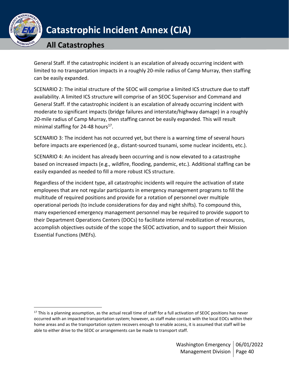

## **All Catastrophes**

General Staff. If the catastrophic incident is an escalation of already occurring incident with limited to no transportation impacts in a roughly 20-mile radius of Camp Murray, then staffing can be easily expanded.

SCENARIO 2: The initial structure of the SEOC will comprise a limited ICS structure due to staff availability. A limited ICS structure will comprise of an SEOC Supervisor and Command and General Staff. If the catastrophic incident is an escalation of already occurring incident with moderate to significant impacts (bridge failures and interstate/highway damage) in a roughly 20-mile radius of Camp Murray, then staffing cannot be easily expanded. This will result minimal staffing for 24-48 hours<sup>17</sup>.

SCENARIO 3: The incident has not occurred yet, but there is a warning time of several hours before impacts are experienced (e.g., distant-sourced tsunami, some nuclear incidents, etc.).

SCENARIO 4: An incident has already been occurring and is now elevated to a catastrophe based on increased impacts (e.g., wildfire, flooding, pandemic, etc.). Additional staffing can be easily expanded as needed to fill a more robust ICS structure.

Regardless of the incident type, all catastrophic incidents will require the activation of state employees that are not regular participants in emergency management programs to fill the multitude of required positions and provide for a rotation of personnel over multiple operational periods (to include considerations for day and night shifts). To compound this, many experienced emergency management personnel may be required to provide support to their Department Operations Centers (DOCs) to facilitate internal mobilization of resources, accomplish objectives outside of the scope the SEOC activation, and to support their Mission Essential Functions (MEFs).

 $17$  This is a planning assumption, as the actual recall time of staff for a full activation of SEOC positions has never occurred with an impacted transportation system; however, as staff make contact with the local EOCs within their home areas and as the transportation system recovers enough to enable access, it is assumed that staff will be able to either drive to the SEOC or arrangements can be made to transport staff.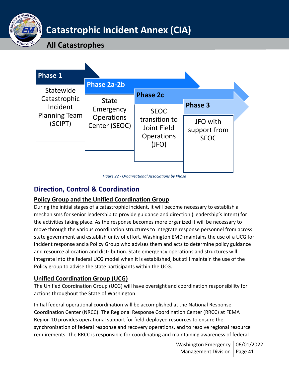

**All Catastrophes**



*Figure 22 - Organizational Associations by Phase*

## <span id="page-40-0"></span>**Direction, Control & Coordination**

## <span id="page-40-1"></span>**Policy Group and the Unified Coordination Group**

During the initial stages of a catastrophic incident, it will become necessary to establish a mechanisms for senior leadership to provide guidance and direction (Leadership's Intent) for the activities taking place. As the response becomes more organized it will be necessary to move through the various coordination structures to integrate response personnel from across state government and establish unity of effort. Washington EMD maintains the use of a UCG for incident response and a Policy Group who advises them and acts to determine policy guidance and resource allocation and distribution. State emergency operations and structures will integrate into the federal UCG model when it is established, but still maintain the use of the Policy group to advise the state participants within the UCG.

## <span id="page-40-2"></span>**Unified Coordination Group (UCG)**

The Unified Coordination Group (UCG) will have oversight and coordination responsibility for actions throughout the State of Washington.

Initial federal operational coordination will be accomplished at the National Response Coordination Center (NRCC). The Regional Response Coordination Center (RRCC) at FEMA Region 10 provides operational support for field-deployed resources to ensure the synchronization of federal response and recovery operations, and to resolve regional resource requirements. The RRCC is responsible for coordinating and maintaining awareness of federal

> Washington Emergency | 06/01/2022 Management Division | Page 41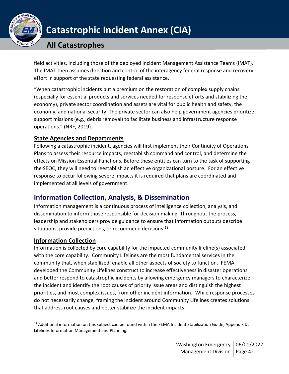

## **All Catastrophes**

field activities, including those of the deployed Incident Management Assistance Teams (IMAT). The IMAT then assumes direction and control of the interagency federal response and recovery effort in support of the state requesting federal assistance.

"When catastrophic incidents put a premium on the restoration of complex supply chains (especially for essential products and services needed for response efforts and stabilizing the economy), private sector coordination and assets are vital for public health and safety, the economy, and national security. The private sector can also help government agencies prioritize support missions (e.g., debris removal) to facilitate business and infrastructure response operations." (NRF, 2019).

## <span id="page-41-0"></span>**State Agencies and Departments**

Following a catastrophic incident, agencies will first implement their Continuity of Operations Plans to assess their resource impacts, reestablish command and control, and determine the effects on Mission Essential Functions. Before these entities can turn to the task of supporting the SEOC, they will need to reestablish an effective organizational posture. For an effective response to occur following severe impacts it is required that plans are coordinated and implemented at all levels of government.

## <span id="page-41-1"></span>**Information Collection, Analysis, & Dissemination**

Information management is a continuous process of intelligence collection, analysis, and dissemination to inform those responsible for decision making. Throughout the process, leadership and stakeholders provide guidance to ensure that information outputs describe situations, provide predictions, or recommend decisions. $^{18}$ 

## <span id="page-41-2"></span>**Information Collection**

Information is collected by core capability for the impacted community lifeline(s) associated with the core capability. Community Lifelines are the most fundamental services in the community that, when stabilized, enable all other aspects of society to function. FEMA developed the Community Lifelines construct to increase effectiveness in disaster operations and better respond to catastrophic incidents by allowing emergency managers to characterize the incident and identify the root causes of priority issue areas and distinguish the highest priorities, and most complex issues, from other incident information. While response processes do not necessarily change, framing the incident around Community Lifelines creates solutions that address root causes and better stabilize the incident impacts.

<sup>&</sup>lt;sup>18</sup> Additional information on this subject can be found within the FEMA Incident Stabilization Guide, Appendix D: Lifelines Information Management and Planning.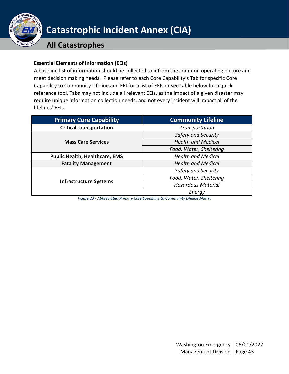

## **All Catastrophes**

### **Essential Elements of Information (EEIs)**

A baseline list of information should be collected to inform the common operating picture and meet decision making needs. Please refer to each Core Capability's Tab for specific Core Capability to Community Lifeline and EEI for a list of EEIs or see table below for a quick reference tool. Tabs may not include all relevant EEIs, as the impact of a given disaster may require unique information collection needs, and not every incident will impact all of the lifelines' EEIs.

| <b>Primary Core Capability</b>        | <b>Community Lifeline</b> |  |  |
|---------------------------------------|---------------------------|--|--|
| <b>Critical Transportation</b>        | Transportation            |  |  |
| <b>Mass Care Services</b>             | Safety and Security       |  |  |
|                                       | <b>Health and Medical</b> |  |  |
|                                       | Food, Water, Sheltering   |  |  |
| <b>Public Health, Healthcare, EMS</b> | <b>Health and Medical</b> |  |  |
| <b>Fatality Management</b>            | <b>Health and Medical</b> |  |  |
| <b>Infrastructure Systems</b>         | Safety and Security       |  |  |
|                                       | Food, Water, Sheltering   |  |  |
|                                       | <b>Hazardous Material</b> |  |  |
|                                       | Energy                    |  |  |

*Figure 23 - Abbreviated Primary Core Capability to Community Lifeline Matrix*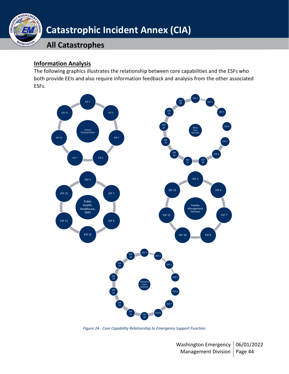

### <span id="page-43-0"></span>**Information Analysis**

The following graphics illustrates the relationship between core capabilities and the ESFs who both provide EEIs and also require information feedback and analysis from the other associated ESFs.



*Figure 24 - Core Capability Relationship to Emergency Support Function*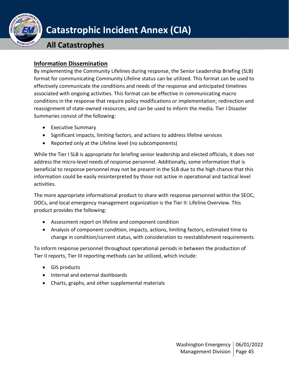

## **All Catastrophes**

## <span id="page-44-0"></span>**Information Dissemination**

By implementing the Community Lifelines during response, the Senior Leadership Briefing (SLB) format for communicating Community Lifeline status can be utilized. This format can be used to effectively communicate the conditions and needs of the response and anticipated timelines associated with ongoing activities. This format can be effective in communicating macro conditions in the response that require policy modifications or implementation; redirection and reassignment of state-owned resources; and can be used to inform the media. Tier I Disaster Summaries consist of the following:

- Executive Summary
- Significant impacts, limiting factors, and actions to address lifeline services
- Reported only at the Lifeline level (no subcomponents)

While the Tier I SLB is appropriate for briefing senior leadership and elected officials, it does not address the micro-level needs of response personnel. Additionally, some information that is beneficial to response personnel may not be present in the SLB due to the high chance that this information could be easily misinterpreted by those not active in operational and tactical level activities.

The more appropriate informational product to share with response personnel within the SEOC, DOCs, and local emergency management organization is the Tier II: Lifeline Overview. This product provides the following:

- Assessment report on lifeline and component condition
- Analysis of component condition, impacts, actions, limiting factors, estimated time to change in condition/current status, with consideration to reestablishment requirements

To inform response personnel throughout operational periods in between the production of Tier II reports, Tier III reporting methods can be utilized, which include:

- GIS products
- Internal and external dashboards
- Charts, graphs, and other supplemental materials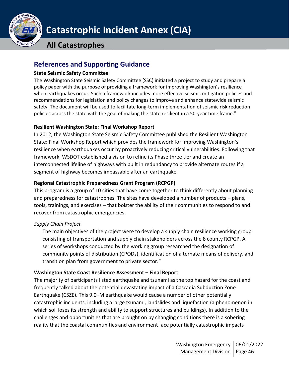

## **All Catastrophes**

## <span id="page-45-0"></span>**References and Supporting Guidance**

### **State Seismic Safety Committee**

The Washington State Seismic Safety Committee (SSC) initiated a project to study and prepare a policy paper with the purpose of providing a framework for improving Washington's resilience when earthquakes occur. Such a framework includes more effective seismic mitigation policies and recommendations for legislation and policy changes to improve and enhance statewide seismic safety. The document will be used to facilitate long-term implementation of seismic risk reduction policies across the state with the goal of making the state resilient in a 50-year time frame."

### **Resilient Washington State: Final Workshop Report**

In 2012, the Washington State Seismic Safety Committee published the Resilient Washington State: Final Workshop Report which provides the framework for improving Washington's resilience when earthquakes occur by proactively reducing critical vulnerabilities. Following that framework, WSDOT established a vision to refine its Phase three tier and create an interconnected lifeline of highways with built in redundancy to provide alternate routes if a segment of highway becomes impassable after an earthquake.

### **Regional Catastrophic Preparedness Grant Program (RCPGP)**

This program is a group of 10 cities that have come together to think differently about planning and preparedness for catastrophes. The sites have developed a number of products – plans, tools, trainings, and exercises – that bolster the ability of their communities to respond to and recover from catastrophic emergencies.

## *Supply Chain Project*

The main objectives of the project were to develop a supply chain resilience working group consisting of transportation and supply chain stakeholders across the 8 county RCPGP. A series of workshops conducted by the working group researched the designation of community points of distribution (CPODs), identification of alternate means of delivery, and transition plan from government to private sector."

### **Washington State Coast Resilience Assessment – Final Report**

The majority of participants listed earthquake and tsunami as the top hazard for the coast and frequently talked about the potential devastating impact of a Cascadia Subduction Zone Earthquake (CSZE). This 9.0+M earthquake would cause a number of other potentially catastrophic incidents, including a large tsunami, landslides and liquefaction (a phenomenon in which soil loses its strength and ability to support structures and buildings). In addition to the challenges and opportunities that are brought on by changing conditions there is a sobering reality that the coastal communities and environment face potentially catastrophic impacts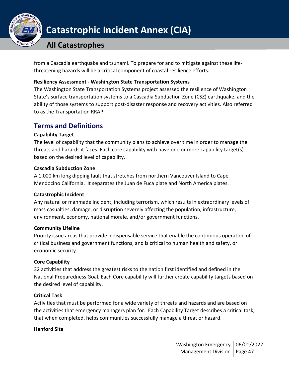

## **All Catastrophes**

from a Cascadia earthquake and tsunami. To prepare for and to mitigate against these lifethreatening hazards will be a critical component of coastal resilience efforts.

### **Resiliency Assessment - Washington State Transportation Systems**

The Washington State Transportation Systems project assessed the resilience of Washington State's surface transportation systems to a Cascadia Subduction Zone (CSZ) earthquake, and the ability of those systems to support post-disaster response and recovery activities. Also referred to as the Transportation RRAP.

## <span id="page-46-0"></span>**Terms and Definitions**

### **Capability Target**

The level of capability that the community plans to achieve over time in order to manage the threats and hazards it faces. Each core capability with have one or more capability target(s) based on the desired level of capability.

### **Cascadia Subduction Zone**

A 1,000 km long dipping fault that stretches from northern Vancouver Island to Cape Mendocino California. It separates the Juan de Fuca plate and North America plates.

### **Catastrophic Incident**

Any natural or manmade incident, including terrorism, which results in extraordinary levels of mass casualties, damage, or disruption severely affecting the population, infrastructure, environment, economy, national morale, and/or government functions.

### **Community Lifeline**

Priority issue areas that provide indispensable service that enable the continuous operation of critical business and government functions, and is critical to human health and safety, or economic security.

## **Core Capability**

32 activities that address the greatest risks to the nation first identified and defined in the National Preparedness Goal. Each Core capability will further create capability targets based on the desired level of capability.

## **Critical Task**

Activities that must be performed for a wide variety of threats and hazards and are based on the activities that emergency managers plan for. Each Capability Target describes a critical task, that when completed, helps communities successfully manage a threat or hazard.

### **Hanford Site**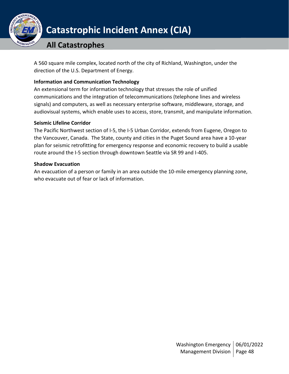

## **All Catastrophes**

A 560 square mile complex, located north of the city of Richland, Washington, under the direction of the U.S. Department of Energy.

### **Information and Communication Technology**

An extensional term for information technology that stresses the role of unified communications and the integration of telecommunications (telephone lines and wireless signals) and computers, as well as necessary enterprise software, middleware, storage, and audiovisual systems, which enable uses to access, store, transmit, and manipulate information.

### **Seismic Lifeline Corridor**

The Pacific Northwest section of I-5, the I-5 Urban Corridor, extends from Eugene, Oregon to the Vancouver, Canada. The State, county and cities in the Puget Sound area have a 10-year plan for seismic retrofitting for emergency response and economic recovery to build a usable route around the I-5 section through downtown Seattle via SR 99 and I-405.

### **Shadow Evacuation**

An evacuation of a person or family in an area outside the 10-mile emergency planning zone, who evacuate out of fear or lack of information.